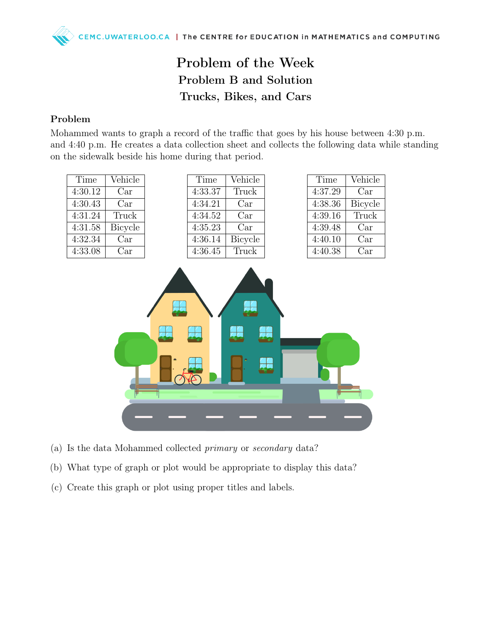## Problem of the Week Problem B and Solution Trucks, Bikes, and Cars

## Problem

Mohammed wants to graph a record of the traffic that goes by his house between 4:30 p.m. and 4:40 p.m. He creates a data collection sheet and collects the following data while standing on the sidewalk beside his home during that period.

| Vehicle<br>Time<br>Vehicle | Time    | Vehicle    | Time    |
|----------------------------|---------|------------|---------|
| Truck<br>4:37.29<br>Car    | 4:33.37 | Car        | 4:30.12 |
| 4:38.36<br>Bicycle<br>Car  | 4:34.21 | Car        | 4:30.43 |
| Truck<br>4:39.16<br>Car    | 4:34.52 | Truck      | 4:31.24 |
| 4:39.48<br>Car<br>Car      | 4:35.23 | Bicycle    | 4:31.58 |
| 4:40.10<br>Bicycle<br>Car  | 4:36.14 | $\rm{Car}$ | 4:32.34 |
| Truck<br>4:40.38<br>Car    | 4:36.45 | Car        | 4:33.08 |
|                            |         |            |         |
|                            |         |            |         |
|                            |         |            |         |
|                            |         |            |         |
|                            |         |            |         |



- (a) Is the data Mohammed collected primary or secondary data?
- (b) What type of graph or plot would be appropriate to display this data?
- (c) Create this graph or plot using proper titles and labels.